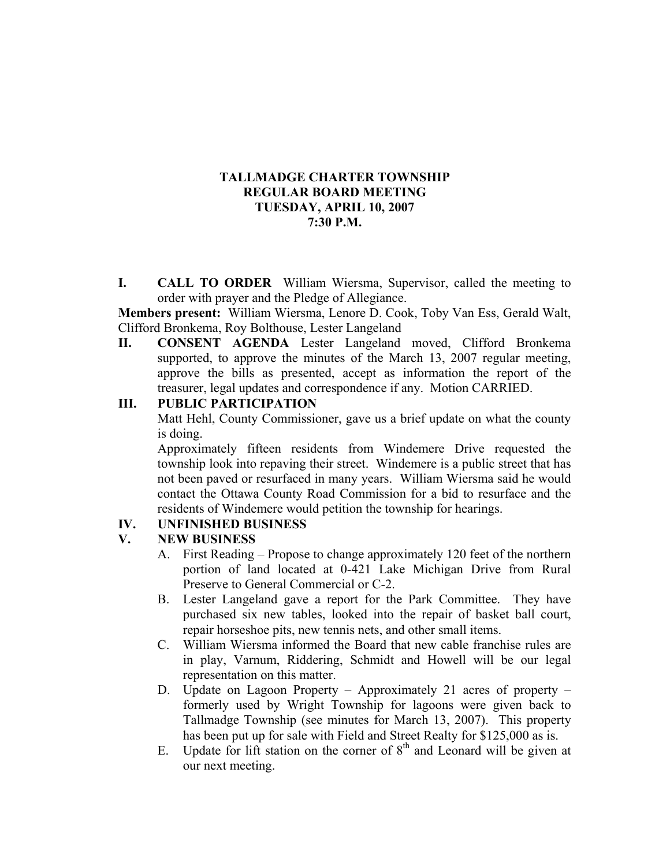## **TALLMADGE CHARTER TOWNSHIP REGULAR BOARD MEETING TUESDAY, APRIL 10, 2007 7:30 P.M.**

**I. CALL TO ORDER** William Wiersma, Supervisor, called the meeting to order with prayer and the Pledge of Allegiance.

**Members present:** William Wiersma, Lenore D. Cook, Toby Van Ess, Gerald Walt, Clifford Bronkema, Roy Bolthouse, Lester Langeland

**II. CONSENT AGENDA** Lester Langeland moved, Clifford Bronkema supported, to approve the minutes of the March 13, 2007 regular meeting, approve the bills as presented, accept as information the report of the treasurer, legal updates and correspondence if any. Motion CARRIED.

## **III. PUBLIC PARTICIPATION**

Matt Hehl, County Commissioner, gave us a brief update on what the county is doing.

Approximately fifteen residents from Windemere Drive requested the township look into repaving their street. Windemere is a public street that has not been paved or resurfaced in many years. William Wiersma said he would contact the Ottawa County Road Commission for a bid to resurface and the residents of Windemere would petition the township for hearings.

# **IV. UNFINISHED BUSINESS**

#### **V. NEW BUSINESS**

- A. First Reading Propose to change approximately 120 feet of the northern portion of land located at 0-421 Lake Michigan Drive from Rural Preserve to General Commercial or C-2.
- B. Lester Langeland gave a report for the Park Committee. They have purchased six new tables, looked into the repair of basket ball court, repair horseshoe pits, new tennis nets, and other small items.
- C. William Wiersma informed the Board that new cable franchise rules are in play, Varnum, Riddering, Schmidt and Howell will be our legal representation on this matter.
- D. Update on Lagoon Property Approximately 21 acres of property formerly used by Wright Township for lagoons were given back to Tallmadge Township (see minutes for March 13, 2007). This property has been put up for sale with Field and Street Realty for \$125,000 as is.
- E. Update for lift station on the corner of  $8<sup>th</sup>$  and Leonard will be given at our next meeting.